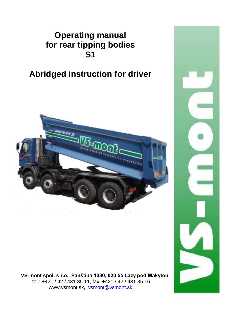## **Operating manual for rear tipping bodies S1**

## **Abridged instruction for driver**



 **VS-mont spol. s r.o., Panština 1030, 020 55 Lazy pod Makytou** tel.: +421 / 42 / 431 35 11, fax: +421 / 42 / 431 35 16 www.vsmont.sk, [vsmont@vsmont.sk](mailto:vsmont@vsmont.sk)

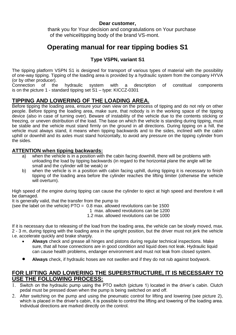#### **Dear customer,**

 thank you for Your decision and congratulations on Your purchase of the vehicel/tipping body of the brand VS-mont.

### **Operating manual for rear tipping bodies S1**

### **Type VSPN, variant S1**

The tipping platform VSPN S1 is designed for transport of various types of material with the possibility of one-way tipping. Tipping of the loading area is provided by a hydraulic system from the company HYVA (or by other producer).<br>Connection of the

hydraulic system with a description of constitual components is on the picture 1 - standard tipping set S1 – type: KICCZ-0301

### **TIPPING AND LOWERING OF THE LOADING AREA.**

Before tipping the loading area, ensure your own view on the process of tipping and do not rely on other people. Before tipping the loading area, make sure, that nobody is in the working space of the tipping device (also in case of turning over). Beware of instability of the vehicle due to the contents sticking or freezing, or uneven distribution of the load. The base on which the vehicle is standing during tipping, must be stable and the vehicle must stand firmly on the ground in all directions. During tipping on a hill, the vehicle must always stand, it means when tipping backwards and to the sides, inclined with the cabin uphill or downhill and its axles must stand horizontally, to avoid any pressure on the tipping cylinder from the sides.

#### **ATTENTION when tipping backwards:**

- a) when the vehicle is in a position with the cabin facing downhill, there will be problems with unloading the load by tipping backwards (in regard to the horizontal plane the angle will be small and the cylinder will be weak) or
- b) when the vehicle is in a position with cabin facing uphill, during tipping it is necessary to finish tipping of the loading area before the cylinder reaches the lifting limiter (otherwise the vehicle will overturn).

High speed of the engine during tipping can cause the cylinder to eject at high speed and therefore it will be damaged.

It is generally valid, that the transfer from the pump to

(see the label on the vehicle)  $PTO = 0.8$  max. allowed revolutions can be 1500

1 max. allowed revolutions can be 1200

1.2 max. allowed revolutions can be 1000

If it is necessary due to releasing of the load from the loading area, the vehicle can be slowly moved, max. 2 - 3 m, during tipping with the loading area in the upright position, but the driver must not jerk the vehicle i.e. accelerate quickly and brake sharply.

- **Always** check and grease all hinges and pistons during regular technical inspections. Make sure, that all hose connections are in good condition and liquid does not leak. Hydraulic liquid can cause health problems, endanger environment and must not leak from closed system.
- **Always** check, if hydraulic hoses are not swollen and if they do not rub against bodywork.

### **FOR LIFTING AND LOWERING THE SUPERSTRUCTURE, IT IS NECESSARY TO USE THE FOLLOWING PROCESS:**

- 1. Switch on the hydraulic pump using the PTO switch (picture 1) located in the driver's cabin. Clutch pedal must be pressed down when the pump is being switched on and off.
- After switching on the pump and using the pneumatic control for lifting and lowering (see picture 2), which is placed in the driver's cabin, it is possible to control the lifting and lowering of the loading area. Individual directions are marked directly on the control.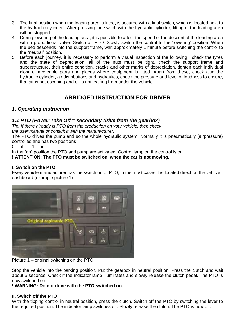- 3. The final position when the loading area is lifted, is secured with a final switch, which is located next to the hydraulic cylinder. After pressing the switch with the hydraulic cylinder, lifting of the loading area will be stopped.
- 4. During lowering of the loading area, it is possible to affect the speed of the descent of the loading area with a proportional valve. Switch off PTO. Slowly switch the control to the 'lowering' position. When the bed descends into the support frame, wait approximately 1 minute before switching the control to the "neutral" position.
- 5. Before each journey, it is necessary to perform a visual inspection of the following: check the tyres and the state of depreciation, all of the nuts must be tight, check the support frame and superstructure, their entire condition, cracks and other marks of depreciation, tighten each individual closure, moveable parts and places where equipment is fitted. Apart from these, check also the hydraulic cylinder, air distributions and hydraulics, check the pressure and level of loudness to ensure, that air is not escaping and oil is not leaking from under the vehicle.

### **ABRIDGED INSTRUCTION FOR DRIVER**

### *1. Operating instruction*

#### *1.1 PTO (Power Take Off = secondary drive from the gearbox)*

*Tip: If there already is PTO from the production on your vehicle, then check the user manual or consult it with the manufacturer.*

The PTO drives the pump and so the whole hydraulic system. Normally it is pneumatically (airpressure) controlled and has two positions<br> $0 - \text{off} = 1 - \text{on}$ 

 $0 - \rho ff$ 

In the "on" position the PTO and pump are activated. Control lamp on the control is on.

**! ATTENTION: The PTO must be switched on, when the car is not moving.**

#### **I. Switch on the PTO**

Every vehicle manufacturer has the switch on of PTO, in the most cases it is located direct on the vehicle dashboard (example picture 1)



Picture 1 – original switching on the PTO

Stop the vehicle into the parking position. Put the gearbox in neutral position. Press the clutch and wait about 5 seconds. Check if the indicator lamp illuminates and slowly release the clutch pedal. The PTO is now switched on.

#### **! WARNING: Do not drive with the PTO switched on.**

#### **II. Switch off the PTO**

With the tipping control in neutral position, press the clutch. Switch off the PTO by switching the lever to the required position. The indicator lamp switches off. Slowly release the clutch. The PTO is now off.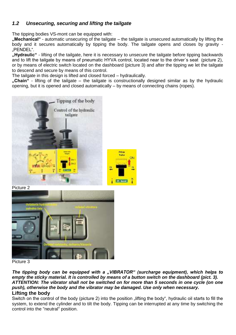### *1.2 Unsecuring, securing and lifting the tailgate*

The tipping bodies VS-mont can be equipped with:

**"Mechanical"** - automatic unsecuring of the tailgate – the tailgate is unsecured automatically by lifting the body and it secures automatically by tipping the body. The tailgate opens and closes by gravity - PENDEL"

**"Hydraulic"** - lifting of the tailgate, here it is necessary to unsecure the tailgate before tipping backwards and to lift the tailgate by means of pneumatic HYVA control, located near to the driver´s seat (picture 2), or by means of electric switch located on the dashboard (picture 3) and after the tipping we let the tailgate to descend and secure by means of this control.

The tailgate in this design is lifted and closed forced – hydraulically.

**"Chain"** - lifting of the tailgate – the tailgate is constructionally designed similar as by the hydraulic  $\overline{\text{open}}$  but it is opened and closed automatically – by means of connecting chains (ropes).



Picture 2



Picture 3

*The tipping body can be equipped with a "VIBRATOR" (surcharge equipment), which helps to empty the sticky material. It is controlled by means of a button switch on the dashboard (pict. 3). ATTENTION: The vibrator shall not be switched on for more than 5 seconds in one cycle (on one push), otherwise the body and the vibrator may be damaged. Use only when necessary.* **Lifting the body**

Switch on the control of the body (picture 2) into the position lifting the body", hydraulic oil starts to fill the system, to extend the cylinder and to tilt the body. Tipping can be interrupted at any time by switching the control into the "neutral" position.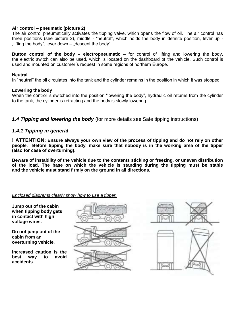#### **Air control – pneumatic (picture 2)**

The air control pneumatically activates the tipping valve, which opens the flow of oil. The air control has three positions (see picture 2), middle - "neutral", which holds the body in definite position, lever up -  $\mathsf{I}$  lifting the body", lever down  $\mathsf{I}$  descent the body".

**Button control of the body – electropneumatic –** for control of lifting and lowering the body, the electric switch can also be used, which is located on the dashboard of the vehicle. Such control is used and mounted on customer´s request in some regions of northern Europe.

#### **Neutral**

In "neutral" the oil circulates into the tank and the cylinder remains in the position in which it was stopped.

#### **Lowering the body**

When the control is switched into the position "lowering the body", hydraulic oil returns from the cylinder to the tank, the cylinder is retracting and the body is slowly lowering.

*1.4 Tipping and lowering the body* (for more details see Safe tipping instructions)

#### *1.4.1 Tipping in general*

**! ATTENTION: Ensure always your own view of the process of tipping and do not rely on other people. Before tipping the body, make sure that nobody is in the working area of the tipper (also for case of overturning).** 

**Beware of instability of the vehicle due to the contents sticking or freezing, or uneven distribution of the load. The base on which the vehicle is standing during the tipping must be stable and the vehicle must stand firmly on the ground in all directions.** 

#### *Enclosed diagrams clearly show how to use a tipper.*

**Jump out of the cabin when tipping body gets in contact with high voltage wires.**

**Do not jump out of the cabin from an overturning vehicle.**

**Increased caution is the**  way to avoid **accidents.**



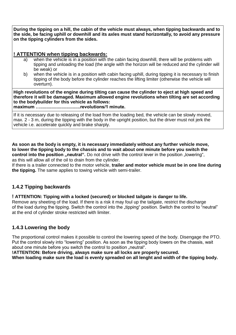**During the tipping on a hill, the cabin of the vehicle must always, when tipping backwards and to the side, be facing uphill or downhill and its axles must stand horizontally, to avoid any pressure on the tipping cylinders from the sides.**

### **! ATTENTION when tipping backwards:**

- a) when the vehicle is in a position with the cabin facing downhill, there will be problems with tipping and unloading the load (the angle with the horizon will be reduced and the cylinder will be weak) or
- b) when the vehicle is in a position with cabin facing uphill, during tipping it is necessary to finish tipping of the body before the cylinder reaches the lifting limiter (otherwise the vehicle will overturn).

**High revolutions of the engine during tilting can cause the cylinder to eject at high speed and therefore it will be damaged. Maximum allowed engine revolutions when tilting are set according to the bodybuilder for this vehicle as follows:**

**maximum …................................revolutions/1 minute.** 

If it is necessary due to releasing of the load from the loading bed, the vehicle can be slowly moved, max. 2 - 3 m, during the tipping with the body in the upright position, but the driver must not jerk the vehicle i.e. accelerate quickly and brake sharply.

**As soon as the body is empty, it is necessary immediately without any further vehicle move, to lower the tipping body to the chassis and to wait about one minute before you switch the control into the position ..neutral".** Do not drive with the control lever in the position ..lowering", as this will allow all of the oil to drain from the cylinder.

If there is a trailer connected to the motor vehicle, **trailer and motor vehicle must be in one line during the tipping.** The same applies to towing vehicle with semi-trailer.

### **1.4.2 Tipping backwards**

**! ATTENTION: Tipping with a locked (secured) or blocked tailgate is danger to life.**

Remove any sheeting of the load. If there is a risk it may foul up the tailgate, restrict the discharge of the load during the tipping. Switch the control into the "tipping" position. Switch the control to "neutral" at the end of cylinder stroke restricted with limiter.

### **1.4.3 Lowering the body**

The proportional control makes it possible to control the lowering speed of the body. Disengage the PTO. Put the control slowly into "lowering" position. As soon as the tipping body lowers on the chassis, wait about one minute before you switch the control to position .neutral".

**!ATTENTION: Before driving, always make sure all locks are properly secured.** 

**When loading make sure the load is evenly spreaded on all lenght and width of the tipping body.**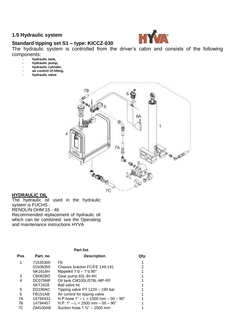#### **1.5 Hydraulic system**



**Standard tipping set S1 – type: KICCZ-030** The hydraulic system is controlled from the driver's cabin and consists of the following

- components:
	- **hydraulic tank,**
	- **hydraulic pump, hydraulic cylinder,**
	- **air control of tilting,**
	- **hydraulic valve**



#### **HYDRAULIC OIL**

The hydraulic oil used in the hydraulic system is FUCHS - RENOLIN OHM 15 - 46 Recommended replacement of hydraulic oil which can be combined: see the Operating and maintenance instructions HYVA

#### **Part list Pos Part. no Description Qty.** 1 71535300 FE<br>01506050 Chassis bracket FC/FE 149-191 2 Chassis bracket FC/FE 149-191 NK1616H Nippelkit 1"d – 1"d 90° 1 3 CB082BD Gear pump 82L-BI-4H<br>4 DC079MF Oil tank CM100L/079L-MP-RF 1 DC079MF Oil tank CM100L/079L-MP-RF<br>SKT2428 Ball valve kit SKT2428 Ball valve kit<br>ED190AC Tipping valve 5 ED190AC Tipping valve PT 1220 – 190 bar 1<br>6 FB151AB Air control for tipping valve 6 FB151AB Air control for tipping valve<br>7A 14794433 H.P.hose 1" - L = 1500 mm - 00 - 90° 1 7A 14794433 H.P.hose 1" – L = 1500 mm – 00 – 90°<br>7B 14794457 H P 1" – L = 2500 mm – 00 – 90°  $H.P. 1" - L = 2500$  mm – 00 – 90° 1 7C GM100AB Suction hose 1 <sup>3</sup>/<sub>4</sub>" – 2500 mm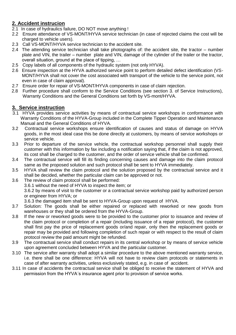### **2. Accident instrucion**

- 2.1 In case of hydraulics failure, DO NOT move anything !
- 2.2 Ensure attendance of VS-MONT/HYVA service technician (in case of rejected claims the cost will be charged to vehicle users).
- 2.3 Call VS-MONT/HYVA service technician to the accident site.
- 2.4 The attending service technician shall take photographs of: the accident site, the tractor number plate and VIN, the trailer – number plate and VIN, damage of the cylinder of the trailer or the tractor, overall situation, ground at the place of tipping, …
- 2.5 Copy labels of all components of the hydraulic system (not only HYVA).
- 2.6 Ensure inspection at the HYVA authorized service point to perform detailed defect identification (VS-MONT/HYVA shall not cover the cost associated with transport of the vehicle to the service point, not even in case of claim approval).
- 2.7 Ensure order for repair of VS-MONT/HYVA components in case of claim rejection.
- 2.8 Further procedure shall conform to the Service Conditions (see section 3. of Service Instructions), Warranty Conditions and the General Conditions set forth by VS-mont/HYVA.

### **3. Service instruction**

- 3.1 HYVA provides service activities by means of contractual service workshops in conformance with Warranty Conditions of the HYVA-Group included in the Complete Tipper Operation and Maintenance Manual and the General Conditions of HYVA.<br>3.2. Contractual service workshops ensure ide
- 3.2 Contractual service workshops ensure identification of causes and status of damage on HYVA goods, in the most ideal case this be done directly at customers, by means of service workshops or service vehicle.
- 3.3 Prior to departure of the service vehicle, the contractual workshop personnel shall supply their customer with this information by fax including a notification saying that, if the claim is not approved, its cost shall be charged to the customer, and the order of service vehicle shall be confirmed.
- 3.4 The contractual service will fill its finding concerning causes and damage into the claim protocol same as the proposed solution and such protocol shall be sent to HYVA immediately.
- 3.5 HYVA shall review the claim protocol and the solution proposed by the contractual service and it shall be decided, whether the particular claim can be approved or not.
- 3.6 The review of claim protocol shall be performed:
	- 3.6.1 without the need of HYVA to inspect the item; or

3.6.2 by means of visit to the customer or a contractual service workshop paid by authorized person or engineer from HYVA; or

3.6.3 the damaged item shall be sent to HYVA-Group upon request of HYVA.

- 3.7 Solution: The goods shall be either repaired or replaced with reworked or new goods from warehouses or they shall be ordered from the HYVA-Group.
- 3.8 If the new or reworked goods were to be provided to the customer prior to issuance and review of the claim protocol or completion of a repair (including issuance of a repair protocol), the customer shall first pay the price of replacement goods or/and repair, only then the replacement goods or repair may be provided and following completion of such repair or with respect to the result of claim protocol review the paid amount might be refunded.
- 3.9 The contractual service shall conduct repairs in its central workshop or by means of service vehicle upon agreement concluded between HYVA and the particular customer.
- 3.10 The service after warranty shall adopt a similar procedure to the above mentioned warranty service, i.e. there shall be one difference: HYVA will not have to review claim protocols or statements in case of after warranty activities, unless exclusively stated, e.g. in case of accident.
- 3.11 In case of accidents the contractual service shall be obliged to receive the statement of HYVA and permission from the HYVA´s insurance agent prior to provision of service works.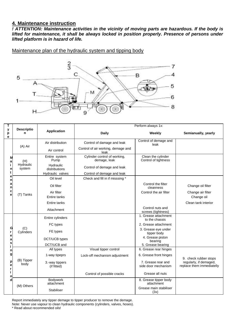#### **4. Maintenance instruction**

*! ATTENTION: Maintenance activities in the vicinity of moving parts are hazardous. If the body is*  lifted for maintenance, it shall be always locked in position properly. Presence of persons under *lifted platform is in hazard of life.*

Maintenance plan of the hydraulic system and tipping body



| т                                                              | <b>Descriptio</b><br>n     | <b>Application</b>            | Perform always 1x:                           |                                            |                                                     |
|----------------------------------------------------------------|----------------------------|-------------------------------|----------------------------------------------|--------------------------------------------|-----------------------------------------------------|
| у<br>p<br>е                                                    |                            |                               | Daily                                        | Weekly                                     | Semianually, yearly                                 |
| М<br>a<br>n<br>t<br>е<br>n<br>a<br>n<br>c<br>ė                 | (A) Air                    | Air distribution              | Control of damage and leak                   | Control of demage and<br>leak              |                                                     |
|                                                                |                            | Air control                   | Control of air working, demage and<br>leak   |                                            |                                                     |
|                                                                | (H)<br>Hydraulic<br>system | Entire system<br>Pump         | Cylinder control of working,<br>demage, leak | Clean the cylinder<br>Control of tightness |                                                     |
|                                                                |                            | Hydraulic<br>distributions    | Control of demage and leak                   |                                            |                                                     |
|                                                                |                            | Hydraulic valves              | Control of demage and leak                   |                                            |                                                     |
|                                                                | (T) Tanks                  | Oil level                     | Check and fill in if misssing *              |                                            |                                                     |
|                                                                |                            | Oil filter                    |                                              | Control the filter<br>cleanness            | Change oil filter                                   |
|                                                                |                            | Air filter                    |                                              | Control the air filter                     | Change air filter                                   |
|                                                                |                            | Entire tanks                  |                                              |                                            | Change oil                                          |
|                                                                |                            | Entire tanks                  |                                              |                                            | Clean tank interior                                 |
|                                                                |                            | Attachment                    |                                              | Control nuts and<br>screws (tightness)     |                                                     |
| ှ<br>r<br>e<br>a<br>s<br>n<br>g<br>p<br>e<br>r<br>$\circ$<br>d | (C)<br>Cylinders           | Entire cylinders              |                                              | 1. Grease attachment<br>to the chassis     |                                                     |
|                                                                |                            | FC types                      |                                              | 2. Grease attachment                       |                                                     |
|                                                                |                            | FE types                      |                                              | 3. Grease eye under<br>tipper body         |                                                     |
|                                                                |                            | DCT/UCB types                 |                                              | 4. Grease piston<br>bearing                |                                                     |
|                                                                |                            | DCT/UCB and                   |                                              | 5. Grease bearing                          |                                                     |
|                                                                | (B) Tipper<br>body         | All types                     | Visual tipper control                        | 6. Grease rear hinges                      |                                                     |
|                                                                |                            | 1-way tipeprs                 | Lock-off mechanism adjustment                | 6. Grease front hinges                     | 9. check rubber stops                               |
|                                                                |                            | 3.-way tippers<br>(if fitted) |                                              | 7. Grease rear and<br>side door mechanism  | regularly, if demaged,<br>replace them immediatelly |
|                                                                |                            |                               | Control of possible cracks                   | Grease all nuts                            |                                                     |
|                                                                | (M) Others                 | <b>Bodvwork</b><br>attachment |                                              | 8. Grease tipper body<br>attachment        |                                                     |
|                                                                |                            | Stabiliser                    |                                              | Grease main stabiliser<br>(3x)             |                                                     |

Report immediately any tipper demage to tipper producer to remove the demage.

Note: Never use vapour to clean hydraulic components (cylinders, valves, hoses).

\* Read about recommended oils!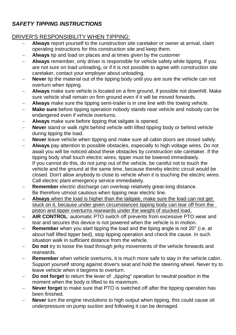### *SAFETY TIPPING INSTRUCTIONS*

### DRIVER'S RESPONSIBILITY WHEN TIPPING:

- **Always** report yourself to the cunstruction site caretaker or owner at arrival, claim operating instructions for this construction site and keep them.
- **Always** tip and load on places and at times given by the customer
- **Always** remember, only driver is responsible for vehicle safety while tipping. If you are not sure on load unloading, or if it is not possible to agree with construction site caretaker, contact your employer about unloading.
- **Never** tip the material out of the tipping body until you are sure the vehicle can not overturn when tipping.
- **Always** make sure vehicle is located on a firm ground, if possible not downhill. Make sure vehicle shall remain on firm ground even if it will be moved forwards.
- **Always** make sure the tipping semi-trailer is in one line with the towing vehicle.
- **Make sure** before tipping operation nobody stands near vehicle and nobody can be endangered even if vehicle overturns.
- **Always** make sure before tipping that tailgate is opened.
- **Never** stand or walk right behind vehicle with lifted tipping body or behind vehicle during tipping the load.
- **Never** leave vehicle when tipping and make sure all cabin doors are closed safely.
- **Always** pay attention to possible obstacles, especially to high voltage wires. Do not await you will be noticed about these obstacles by construction site caretaker. If the tipping body shall touch electric wires, tipper must be lowered immediately. If you cannot do this, do not jump out of the vehicle, be careful not to touch the vehicle and the ground at the same time, because thereby electric circuit would be closed. Don't allow anybody to close to vehicle when it is touching the electric wires. Call electric plant emergency service immediately.
- **Remember** electric discharge can overleap relatively great-long distance. Be therefore utmost cautious when tipping near electric line.
- **Always** when the load is higher than the tailgate, make sure the load can not get stuck on it, because under given circumstances tipping body can tear off from the piston and tipper overturns rearwards under the weight of stucked load.
- **AIR CONTROL**: automatic PTO switch off prevents from excessive PTO wear and tear and secures this device is not powered when the vehicle is in motion.
- **Remember** when you start tipping the load and the tiping angle is not 20° (i.e. at about half lifted tipper bed), stop tipping operation and check the cause. In such situation walk in sufficient distance from the vehicle.
- **Do not** try to loose the load through jerky movements of the vehicle forwards and rearwards.
- **Remember** when vehicle overturns, it is much more safe to stay in the vehicle cabin. Support yourself strong against driver's seat and hold the steering wheel. Never try to leave vehicle when it beginns to overturn.
- **Do not forget** to return the lever of "tipping" operation to neutral position in the moment when the body is lifted to its maximum.
- **Never forget** to make sure that PTO is switched off after the tipping operation has been finished.
- **Never** turn the engine revolutions to high output when tipping, this could cause oil underpressure on pump suction and following it can be demaged.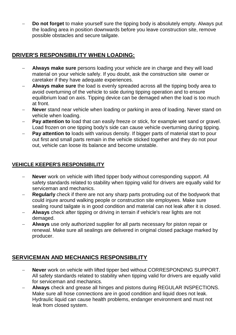**Do not forget** to make yourself sure the tipping body is absolutely empty. Always put the loading area in position downwards before you leave construction site, remove possible obstacles and secure tailgate.

### **DRIVER'S RESPONSIBILITY WHEN LOADING:**

- **Always make sure** persons loading your vehicle are in charge and they will load material on your vehicle safely. If you doubt, ask the construction site owner or caretaker if they have adequate experiences.
- **Always make sure** the load is evenly spreaded across all the tipping body area to avoid overturning of the vehicle to side during tipping operation and to ensure equilibrium load on axis. Tipping device can be demaged when the load is too much at front.
- **Never** stand near vehicle when loading or parking in area of loading. Never stand on vehicle when loading.
- **Pay attention to** load that can easily freeze or stick, for example wet sand or gravel. Load frozen on one tipping body's side can cause vehicle overturning during tipping.
- **Pay attention to** loads with various density. If bigger parts of material start to pour out first and small parts remain in the vehicle sticked together and they do not pour out, vehicle can loose its balance and become unstable.

### **VEHICLE KEEPER'S RESPONSIBILITY**

- **Never** work on vehicle with lifted tipper body without corresponding support. All safety standards related to stability when tipping valid for drivers are equally valid for serviceman and mechanics.
- **Regularly** check if there are not any sharp parts protruding out of the bodywork that could injure around walking people or construction site employees. Make sure sealing round tailgate is in good condition and material can not leak after it is closed.
- **Always** check after tipping or driving in terrain if vehicle's rear lights are not demaged.
- **Always** use only authorized supplier for all parts necessary for piston repair or renewal. Make sure all sealings are delivered in original closed package marked by producer.

### **SERVICEMAN AND MECHANICS RESPONSIBILITY**

- **Never** work on vehicle with lifted tipper bed without CORRESPONDING SUPPORT. All safety standards related to stability when tipping valid for drivers are equally valid for serviceman and mechanics.
- **Always** check and grease all hinges and pistons during REGULAR INSPECTIONS. Make sure all hose connections are in good condition and liquid does not leak. Hydraulic liquid can cause health problems, endanger environment and must not leak from closed system.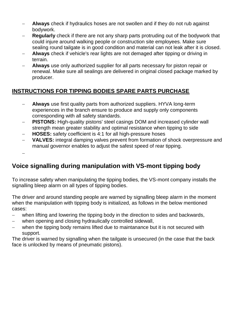- **Always** check if hydraulics hoses are not swollen and if they do not rub against bodywork.
- **Regularly** check if there are not any sharp parts protruding out of the bodywork that could injure around walking people or construction site employees. Make sure sealing round tailgate is in good condition and material can not leak after it is closed.
- **Always** check if vehicle's rear lights are not demaged after tipping or driving in terrain.
- **Always** use only authorized supplier for all parts necessary for piston repair or renewal. Make sure all sealings are delivered in original closed package marked by producer.

### **INSTRUCTIONS FOR TIPPING BODIES SPARE PARTS PURCHASE**

- **Always** use first quality parts from authorized suppliers. HYVA long-term experiences in the branch ensure to produce and supply only components corresponding with all safety standards.
- **PISTONS:** High-quality pistons' steel casings DOM and increased cylinder wall strength mean greater stability and optimal resistance when tipping to side
- **HOSES:** safety coefficient is 4:1 for all high-pressure hoses
- **VALVES:** integral damping valves prevent from formation of shock overpressure and manual governor enables to adjust the safest speed of rear tipping.

 $\equiv$ 

### **Voice signalling during manipulation with VS-mont tipping body**

To increase safety when manipulating the tipping bodies, the VS-mont company installs the signalling bleep alarm on all types of tipping bodies.

The driver and around standing people are warned by signalling bleep alarm in the moment when the manipulation with tipping body is initialized, as follows in the below mentioned cases:

- when lifting and lowering the tipping body in the direction to sides and backwards,
- when opening and closing hydraulically controlled sidewall,
- when the tipping body remains lifted due to maintanance but it is not secured with support.

The driver is warned by signalling when the tailgate is unsecured (in the case that the back face is unlocked by means of pneumatic pistons).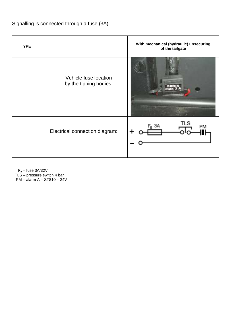Signalling is connected through a fuse (3A).

| <b>TYPE</b> |                                                 | With mechanical (hydraulic) unsecuring<br>of the tailgate |
|-------------|-------------------------------------------------|-----------------------------------------------------------|
|             | Vehicle fuse location<br>by the tipping bodies: |                                                           |
|             | Electrical connection diagram:                  | TLS<br>$F_a$ 3A<br>PM                                     |

F<sup>a</sup> – fuse 3A/32V TLS – pressure switch 4 bar

PM – alarm A – ST810 – 24V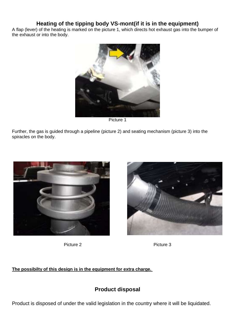### **Heating of the tipping body VS-mont(if it is in the equipment)**

A flap (lever) of the heating is marked on the picture 1, which directs hot exhaust gas into the bumper of the exhaust or into the body.



Picture 1

Further, the gas is guided through a pipeline (picture 2) and seating mechanism (picture 3) into the spiracles on the body.







**The possibilty of this design is in the equipment for extra charge.** 

### **Product disposal**

Product is disposed of under the valid legislation in the country where it will be liquidated.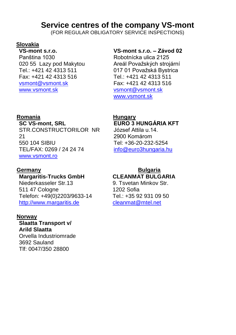## **Service centres of the company VS-mont**

(FOR REGULAR OBLIGATORY SERVICE INSPECTIONS)

### **Slovakia**

**VS-mont s.r.o.** Panština 1030 020 55 Lazy pod Makytou Tel.: +421 42 4313 511 Fax: +421 42 4313 516 vsmont@vsmont.sk [www.vsmont.sk](http://www.vsmont.sk/)

### **Romania Hungary**

**SC VS-mont, SRL** STR.CONSTRUCTORILOR NR 21 550 104 SIBIU TEL/FAX: 0269 / 24 24 74

[www.vsmont.ro](http://www.vsmont.ro/)

**Margaritis-Trucks GmbH**

Niederkasseler Str.13 511 47 Cologne Telefon: +49(0)2203/9633-14 [http://www.margaritis.de](http://www.margaritis.de/)

### **Norway**

**Slaatta Transport v/ Arild Slaatta** Orvella Industriomrade 3692 Sauland Tlf: 0047/350 28800

### **VS-mont s.r.o. – Závod 02**

Robotnícka ulica 2125 Areál Považských strojární 017 01 Považská Bystrica Tel.: +421 42 4313 511 Fax: +421 42 4313 516 vsmont@vsmont.sk [www.vsmont.sk](http://www.vsmont.sk/)

# **EURO 3 HUNGÁRIA KFT**

József Attila u.14. 2900 Komárom Tel: +36-20-232-5254 [info@euro3hungaria.hu](mailto:info@euro3hungaria.hu)

### **Germany Bulgaria CLEANMAT BULGARIA**

9. Tsvetan Minkov Str. 1202 Sofia Tel.: +35 92 931 09 50 [cleanmat@mtel.net](mailto:cleanmat@mtel.net)